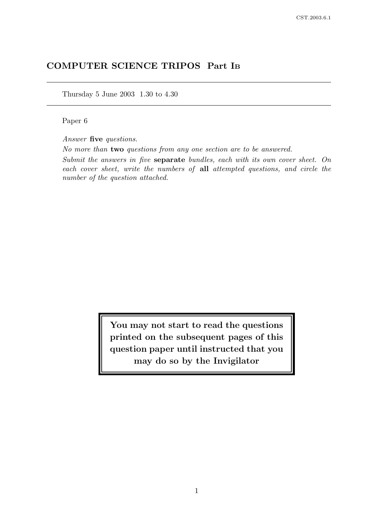# COMPUTER SCIENCE TRIPOS Part I<sup>B</sup>

Thursday 5 June 2003 1.30 to 4.30

Paper 6

Answer five questions.

No more than two questions from any one section are to be answered.

Submit the answers in five separate bundles, each with its own cover sheet. On each cover sheet, write the numbers of all attempted questions, and circle the number of the question attached.

> You may not start to read the questions printed on the subsequent pages of this question paper until instructed that you may do so by the Invigilator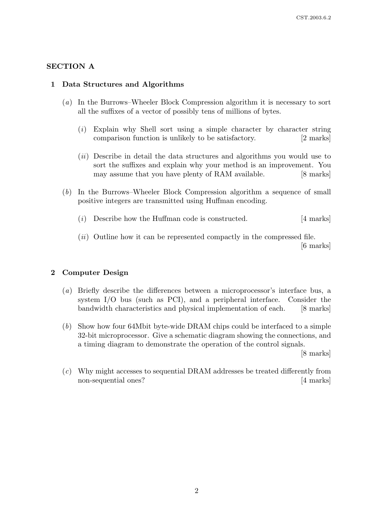## SECTION A

#### 1 Data Structures and Algorithms

- (a) In the Burrows–Wheeler Block Compression algorithm it is necessary to sort all the suffixes of a vector of possibly tens of millions of bytes.
	- (i) Explain why Shell sort using a simple character by character string comparison function is unlikely to be satisfactory. [2 marks]
	- (*ii*) Describe in detail the data structures and algorithms you would use to sort the suffixes and explain why your method is an improvement. You may assume that you have plenty of RAM available. [8 marks]
- (b) In the Burrows–Wheeler Block Compression algorithm a sequence of small positive integers are transmitted using Huffman encoding.
	- (i) Describe how the Huffman code is constructed. [4 marks]
	- $(ii)$  Outline how it can be represented compactly in the compressed file. [6 marks]

# 2 Computer Design

- (a) Briefly describe the differences between a microprocessor's interface bus, a system I/O bus (such as PCI), and a peripheral interface. Consider the bandwidth characteristics and physical implementation of each. [8 marks]
- (b) Show how four 64Mbit byte-wide DRAM chips could be interfaced to a simple 32-bit microprocessor. Give a schematic diagram showing the connections, and a timing diagram to demonstrate the operation of the control signals.

[8 marks]

(c) Why might accesses to sequential DRAM addresses be treated differently from non-sequential ones? [4 marks]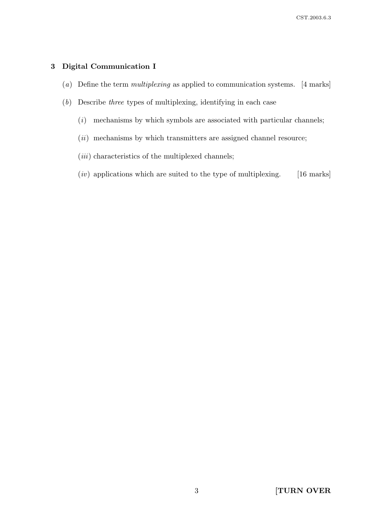# 3 Digital Communication I

- (a) Define the term *multiplexing* as applied to communication systems. [4 marks]
- (b) Describe three types of multiplexing, identifying in each case
	- $(i)$  mechanisms by which symbols are associated with particular channels;
	- $(ii)$  mechanisms by which transmitters are assigned channel resource;
	- $(iii)$  characteristics of the multiplexed channels;
	- $(iv)$  applications which are suited to the type of multiplexing. [16 marks]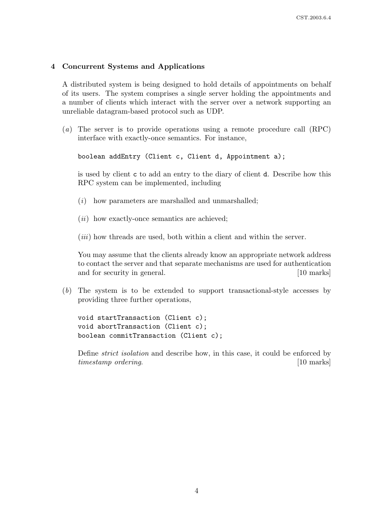# 4 Concurrent Systems and Applications

A distributed system is being designed to hold details of appointments on behalf of its users. The system comprises a single server holding the appointments and a number of clients which interact with the server over a network supporting an unreliable datagram-based protocol such as UDP.

(a) The server is to provide operations using a remote procedure call (RPC) interface with exactly-once semantics. For instance,

boolean addEntry (Client c, Client d, Appointment a);

is used by client c to add an entry to the diary of client d. Describe how this RPC system can be implemented, including

- $(i)$  how parameters are marshalled and unmarshalled;
- $(ii)$  how exactly-once semantics are achieved;
- $(iii)$  how threads are used, both within a client and within the server.

You may assume that the clients already know an appropriate network address to contact the server and that separate mechanisms are used for authentication and for security in general. [10 marks]

(b) The system is to be extended to support transactional-style accesses by providing three further operations,

void startTransaction (Client c); void abortTransaction (Client c); boolean commitTransaction (Client c);

Define strict isolation and describe how, in this case, it could be enforced by timestamp ordering. [10 marks]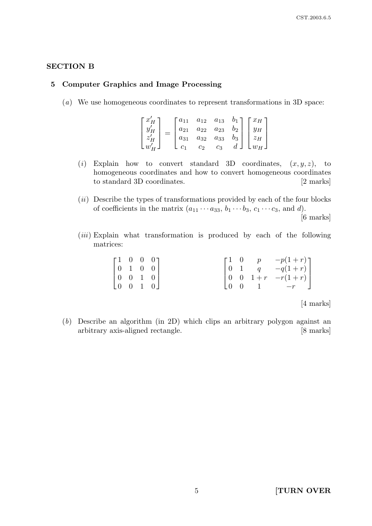# SECTION B

#### 5 Computer Graphics and Image Processing

(a) We use homogeneous coordinates to represent transformations in 3D space:

$$
\begin{bmatrix} x'_H \\ y'_H \\ z'_H \\ w'_H \end{bmatrix} = \begin{bmatrix} a_{11} & a_{12} & a_{13} & b_1 \\ a_{21} & a_{22} & a_{23} & b_2 \\ a_{31} & a_{32} & a_{33} & b_3 \\ c_1 & c_2 & c_3 & d \end{bmatrix} \begin{bmatrix} x_H \\ y_H \\ z_H \\ w_H \end{bmatrix}
$$

- (i) Explain how to convert standard 3D coordinates,  $(x, y, z)$ , to homogeneous coordinates and how to convert homogeneous coordinates to standard 3D coordinates. [2 marks]
- $(ii)$  Describe the types of transformations provided by each of the four blocks of coefficients in the matrix  $(a_{11} \cdots a_{33}, b_1 \cdots b_3, c_1 \cdots c_3,$  and d).

[6 marks]

 $(iii)$  Explain what transformation is produced by each of the following matrices:

| $\begin{bmatrix} 1 & 0 & 0 & 0 \end{bmatrix}$ |  |  |  |                                                                                                     |
|-----------------------------------------------|--|--|--|-----------------------------------------------------------------------------------------------------|
| $\begin{bmatrix} 0 & 1 & 0 & 0 \end{bmatrix}$ |  |  |  |                                                                                                     |
| $\begin{bmatrix} 0 & 0 & 1 & 0 \end{bmatrix}$ |  |  |  | $\begin{bmatrix} 1 & 0 & p & -p(1+r) \\ 0 & 1 & q & -q(1+r) \\ 0 & 0 & 1+r & -r(1+r) \end{bmatrix}$ |
| $\begin{bmatrix} 0 & 0 & 1 & 0 \end{bmatrix}$ |  |  |  | $\begin{bmatrix} 0 & 0 & 1 & -r & \end{bmatrix}$                                                    |

[4 marks]

(b) Describe an algorithm (in 2D) which clips an arbitrary polygon against an arbitrary axis-aligned rectangle. [8 marks]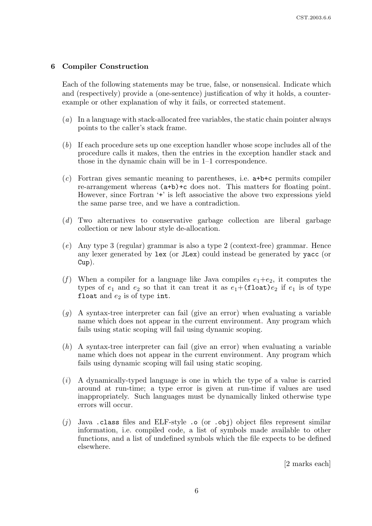# 6 Compiler Construction

Each of the following statements may be true, false, or nonsensical. Indicate which and (respectively) provide a (one-sentence) justification of why it holds, a counterexample or other explanation of why it fails, or corrected statement.

- (a) In a language with stack-allocated free variables, the static chain pointer always points to the caller's stack frame.
- (b) If each procedure sets up one exception handler whose scope includes all of the procedure calls it makes, then the entries in the exception handler stack and those in the dynamic chain will be in 1–1 correspondence.
- (c) Fortran gives semantic meaning to parentheses, i.e. a+b+c permits compiler re-arrangement whereas (a+b)+c does not. This matters for floating point. However, since Fortran '+' is left associative the above two expressions yield the same parse tree, and we have a contradiction.
- (d) Two alternatives to conservative garbage collection are liberal garbage collection or new labour style de-allocation.
- (e) Any type 3 (regular) grammar is also a type 2 (context-free) grammar. Hence any lexer generated by lex (or JLex) could instead be generated by yacc (or Cup).
- (f) When a compiler for a language like Java compiles  $e_1+e_2$ , it computes the types of  $e_1$  and  $e_2$  so that it can treat it as  $e_1+($ float) $e_2$  if  $e_1$  is of type float and  $e_2$  is of type int.
- $(q)$  A syntax-tree interpreter can fail (give an error) when evaluating a variable name which does not appear in the current environment. Any program which fails using static scoping will fail using dynamic scoping.
- (h) A syntax-tree interpreter can fail (give an error) when evaluating a variable name which does not appear in the current environment. Any program which fails using dynamic scoping will fail using static scoping.
- (i) A dynamically-typed language is one in which the type of a value is carried around at run-time; a type error is given at run-time if values are used inappropriately. Such languages must be dynamically linked otherwise type errors will occur.
- (i) Java .class files and ELF-style .o (or .obj) object files represent similar information, i.e. compiled code, a list of symbols made available to other functions, and a list of undefined symbols which the file expects to be defined elsewhere.

[2 marks each]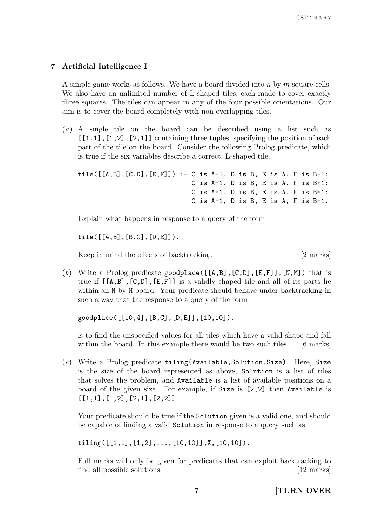# 7 Artificial Intelligence I

A simple game works as follows. We have a board divided into n by m square cells. We also have an unlimited number of L-shaped tiles, each made to cover exactly three squares. The tiles can appear in any of the four possible orientations. Our aim is to cover the board completely with non-overlapping tiles.

(a) A single tile on the board can be described using a list such as  $[1,1]$ ,  $[1,2]$ ,  $[2,1]$ ] containing three tuples, specifying the position of each part of the tile on the board. Consider the following Prolog predicate, which is true if the six variables describe a correct, L-shaped tile.

```
tile([[A,B],[C,D],[E,F]]) :- C is A+1, D is B, E is A, F is B-1;
                 C is A+1, D is B, E is A, F is B+1;
                 C is A-1, D is B, E is A, F is B+1;
                 C is A-1, D is B, E is A, F is B-1.
```
Explain what happens in response to a query of the form

 $tile([[4,5],[B,C],[D,E]]).$ 

Keep in mind the effects of backtracking. [2 marks]

(b) Write a Prolog predicate goodplace( $[[A,B],[C,D],[E,F]]$ , [N,M]) that is true if  $[[A,B],[C,D],[E,F]]$  is a validly shaped tile and all of its parts lie within an N by M board. Your predicate should behave under backtracking in such a way that the response to a query of the form

goodplace([[10,4],[B,C],[D,E]],[10,10]).

is to find the unspecified values for all tiles which have a valid shape and fall within the board. In this example there would be two such tiles. [6 marks]

 $(c)$  Write a Prolog predicate tiling (Available, Solution, Size). Here, Size is the size of the board represented as above, Solution is a list of tiles that solves the problem, and Available is a list of available positions on a board of the given size. For example, if Size is [2,2] then Available is  $[1,1], [1,2], [2,1], [2,2]$ .

Your predicate should be true if the Solution given is a valid one, and should be capable of finding a valid Solution in response to a query such as

tiling( $[[1,1],[1,2],\ldots,[10,10]]$ ,X, $[10,10]$ ).

Full marks will only be given for predicates that can exploit backtracking to find all possible solutions. [12 marks]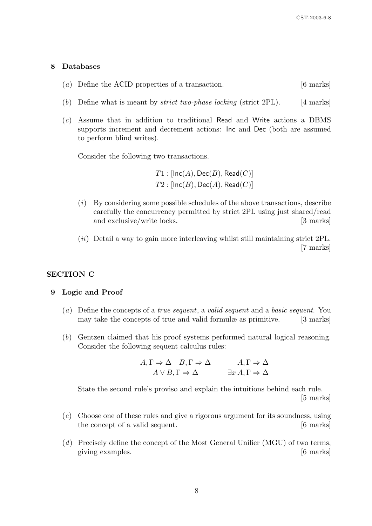#### 8 Databases

- (a) Define the ACID properties of a transaction. [6 marks]
- (b) Define what is meant by *strict two-phase locking* (strict 2PL). [4 marks]
- (c) Assume that in addition to traditional Read and Write actions a DBMS supports increment and decrement actions: Inc and Dec (both are assumed to perform blind writes).

Consider the following two transactions.

 $T1:$  [Inc(A), Dec(B), Read(C)]  $T2 : [Inc(B), Dec(A), Read(C)]$ 

- $(i)$  By considering some possible schedules of the above transactions, describe carefully the concurrency permitted by strict 2PL using just shared/read and exclusive/write locks. [3 marks]
- $(ii)$  Detail a way to gain more interleaving whilst still maintaining strict 2PL. [7 marks]

#### SECTION C

#### 9 Logic and Proof

- (a) Define the concepts of a true sequent, a valid sequent and a basic sequent. You may take the concepts of true and valid formulæ as primitive. [3 marks]
- (b) Gentzen claimed that his proof systems performed natural logical reasoning. Consider the following sequent calculus rules:

$$
\frac{A, \Gamma \Rightarrow \Delta \quad B, \Gamma \Rightarrow \Delta}{A \lor B, \Gamma \Rightarrow \Delta} \qquad \frac{A, \Gamma \Rightarrow \Delta}{\exists x \, A, \Gamma \Rightarrow \Delta}
$$

State the second rule's proviso and explain the intuitions behind each rule. [5 marks]

- (c) Choose one of these rules and give a rigorous argument for its soundness, using the concept of a valid sequent. [6 marks]
- (d) Precisely define the concept of the Most General Unifier (MGU) of two terms, giving examples. [6 marks]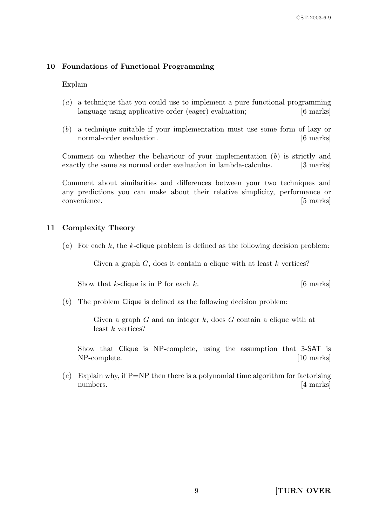# 10 Foundations of Functional Programming

Explain

- (a) a technique that you could use to implement a pure functional programming language using applicative order (eager) evaluation; [6 marks]
- (b) a technique suitable if your implementation must use some form of lazy or normal-order evaluation. [6 marks]

Comment on whether the behaviour of your implementation  $(b)$  is strictly and exactly the same as normal order evaluation in lambda-calculus. [3 marks]

Comment about similarities and differences between your two techniques and any predictions you can make about their relative simplicity, performance or convenience. [5 marks]

# 11 Complexity Theory

(a) For each k, the k-clique problem is defined as the following decision problem:

Given a graph  $G$ , does it contain a clique with at least  $k$  vertices?

Show that k-clique is in P for each  $k$ . [6 marks]

(b) The problem Clique is defined as the following decision problem:

Given a graph  $G$  and an integer  $k$ , does  $G$  contain a clique with at least k vertices?

Show that Clique is NP-complete, using the assumption that 3-SAT is NP-complete. [10 marks]

(c) Explain why, if  $P=NP$  then there is a polynomial time algorithm for factorising numbers. [4 marks]